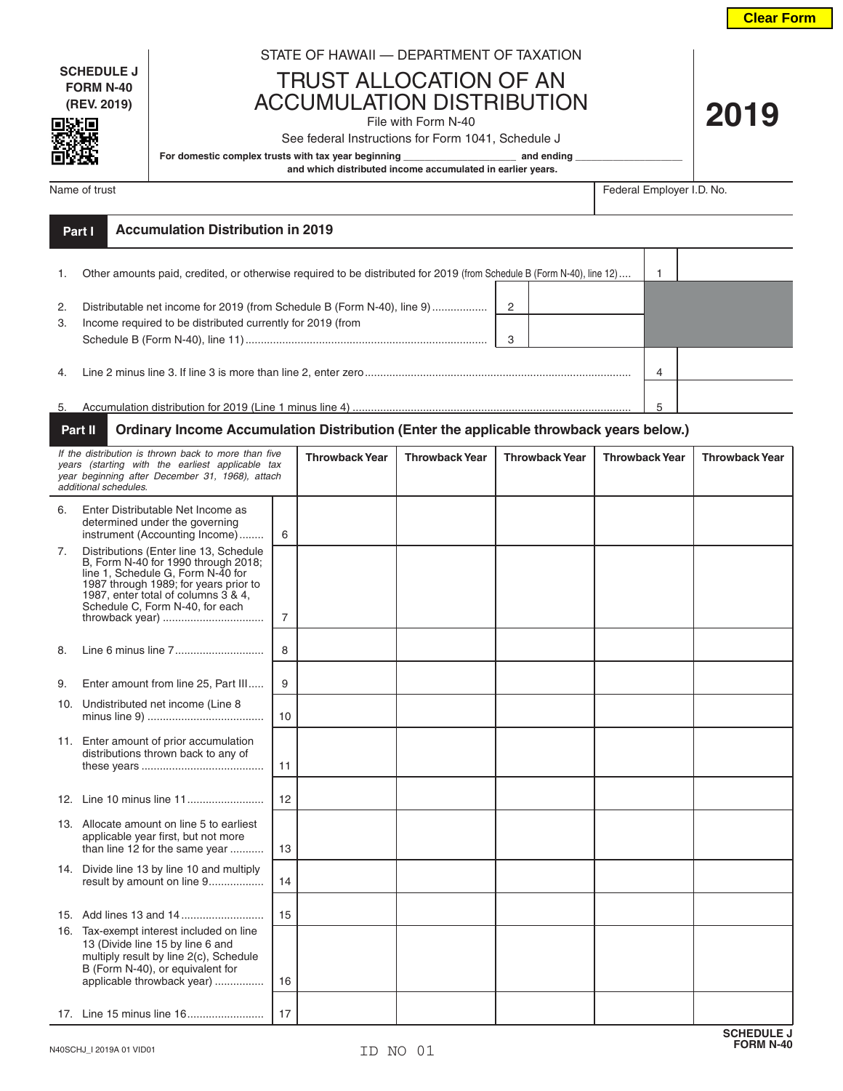**Clear Form**

**2019**

**SCHEDULE J FORM N-40 (REV. 2019)**

同别同

## STATE OF HAWAII — DEPARTMENT OF TAXATION

TRUST ALLOCATION OF AN ACCUMULATION DISTRIBUTION

File with Form N-40

See federal Instructions for Form 1041, Schedule J

For domestic complex trusts with tax year beginning **\_\_\_\_\_\_\_\_\_\_\_\_\_\_\_\_\_\_\_\_** and ending

 **and which distributed income accumulated in earlier years.**

Name of trust Federal Employer I.D. No.

|                | <b>Accumulation Distribution in 2019</b><br>Part I                                                                                              |   |  |
|----------------|-------------------------------------------------------------------------------------------------------------------------------------------------|---|--|
|                | Other amounts paid, credited, or otherwise required to be distributed for 2019 (from Schedule B (Form N-40), line 12)                           |   |  |
| 2.<br>3.       | Distributable net income for 2019 (from Schedule B (Form N-40), line 9)<br>2<br>Income required to be distributed currently for 2019 (from<br>3 |   |  |
| $\overline{4}$ |                                                                                                                                                 |   |  |
| 5.             |                                                                                                                                                 | 5 |  |

## **Part II Ordinary Income Accumulation Distribution (Enter the applicable throwback years below.)**

| If the distribution is thrown back to more than five<br>years (starting with the earliest applicable tax<br>year beginning after December 31, 1968), attach<br>additional schedules. |                                                                                                                                                                                                                                                          | <b>Throwback Year</b> | <b>Throwback Year</b> | <b>Throwback Year</b> | <b>Throwback Year</b> | <b>Throwback Year</b> |  |
|--------------------------------------------------------------------------------------------------------------------------------------------------------------------------------------|----------------------------------------------------------------------------------------------------------------------------------------------------------------------------------------------------------------------------------------------------------|-----------------------|-----------------------|-----------------------|-----------------------|-----------------------|--|
| 6.                                                                                                                                                                                   | Enter Distributable Net Income as<br>determined under the governing<br>instrument (Accounting Income)                                                                                                                                                    | 6                     |                       |                       |                       |                       |  |
| 7.                                                                                                                                                                                   | Distributions (Enter line 13, Schedule<br>B, Form N-40 for 1990 through 2018;<br>line 1, Schedule G, Form N-40 for<br>1987 through 1989; for years prior to<br>1987, enter total of columns 3 & 4,<br>Schedule C, Form N-40, for each<br>throwback year) | $\overline{7}$        |                       |                       |                       |                       |  |
| 8.                                                                                                                                                                                   |                                                                                                                                                                                                                                                          | 8                     |                       |                       |                       |                       |  |
| 9.                                                                                                                                                                                   | Enter amount from line 25, Part III                                                                                                                                                                                                                      | 9                     |                       |                       |                       |                       |  |
| 10.                                                                                                                                                                                  | Undistributed net income (Line 8                                                                                                                                                                                                                         | 10                    |                       |                       |                       |                       |  |
|                                                                                                                                                                                      | 11. Enter amount of prior accumulation<br>distributions thrown back to any of                                                                                                                                                                            | 11                    |                       |                       |                       |                       |  |
|                                                                                                                                                                                      |                                                                                                                                                                                                                                                          | 12                    |                       |                       |                       |                       |  |
|                                                                                                                                                                                      | 13. Allocate amount on line 5 to earliest<br>applicable year first, but not more<br>than line 12 for the same year                                                                                                                                       | 13                    |                       |                       |                       |                       |  |
|                                                                                                                                                                                      | 14. Divide line 13 by line 10 and multiply<br>result by amount on line 9                                                                                                                                                                                 | 14                    |                       |                       |                       |                       |  |
|                                                                                                                                                                                      |                                                                                                                                                                                                                                                          | 15                    |                       |                       |                       |                       |  |
|                                                                                                                                                                                      | 16. Tax-exempt interest included on line<br>13 (Divide line 15 by line 6 and<br>multiply result by line 2(c), Schedule<br>B (Form N-40), or equivalent for<br>applicable throwback year)                                                                 | 16                    |                       |                       |                       |                       |  |
|                                                                                                                                                                                      |                                                                                                                                                                                                                                                          | 17                    |                       |                       |                       |                       |  |